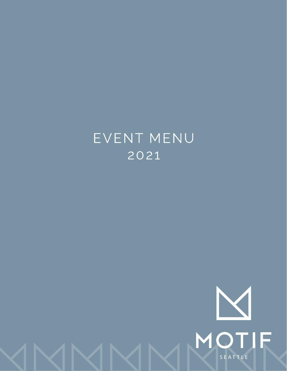# EVENT MENU 2021

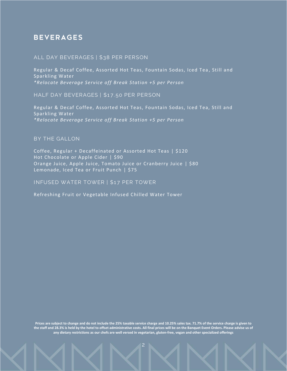## **BEVERAGES**

#### **ALL DAY BEVERAGES | \$38 PER PERSON**

Regular & Decaf Coffee, Assorted Hot Teas, Fountain Sodas, Iced Tea, Still and Sparkling Water *\*Relocate Beverage Service off Break Station +5 per Person*

**HALF DAY BEVERAGES | \$1 7. 50 PER PERSON**

Regular & Decaf Coffee, Assorted Hot Teas, Fountain Sodas, Iced Tea, Still and Sparkling Water *\*Relocate Beverage Service off Break Station +5 per Person*

**BY THE GALLON**

Coffee, Regular + Decaffeinated or Assorted Hot Teas | \$120 Hot Chocolate or Apple Cider | \$90 Orange Juice, Apple Juice, Tomato Juice or Cranberry Juice | \$80 Lemonade, Iced Tea or Fruit Punch | \$75

**I NFUSED WATER TOWER | \$1 7 PER TOWER**

Refreshing Fruit or Vegetable Infused Chilled Water Tower

**Prices are subject to change and do not include the 25% taxable service charge and 10.25% sales tax. 71.7% of the service charge is given to the staff and 28.3% is held by the hotel to offset administrative costs. All final prices will be on the Banquet Event Orders. Please advise us of any dietary restrictions as our chefs are well versed in vegetarian, gluten-free, vegan and other specialized offerings**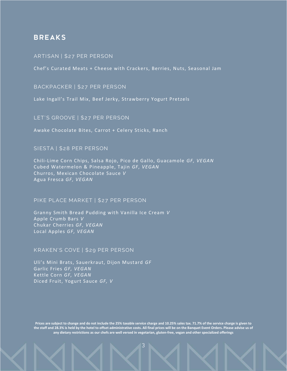## **BREAKS**

#### **ARTI SAN | \$2 7 PER PERSON**

Chef's Curated Meats + Cheese with Crackers, Berries, Nuts, Seasonal Jam

**BACKPACK ER | \$2 7 PER PERSON**

Lake Ingall's Trail Mix, Beef Jerky, Strawberry Yogurt Pretzels

**LET' S GROOVE | \$2 7 PER PERSON**

Awake Chocolate Bites, Carrot + Celery Sticks, Ranch

#### **SI ESTA | \$2 8 PER PERSON**

Chili-Lime Corn Chips, Salsa Rojo, Pico de Gallo, Guacamole *GF, VEGAN* Cubed Watermelon & Pineapple, Tajin *GF, VEGAN* Churros, Mexican Chocolate Sauce *V* Agua Fresca *GF, VEGAN*

#### **PI KE PLACE MARKET | \$2 7 PER PERSON**

Granny Smith Bread Pudding with Vanilla Ice Cream *V* Apple Crumb Bars *V* Chukar Cherries *GF, VEGAN* Local Apples *GF, VEGAN*

#### **KRAKEN' S COVE | \$2 9 PER PERSON**

Uli's Mini Brats, Sauerkraut, Dijon Mustard *GF* Garlic Fries *GF, VEGAN* Kettle Corn *GF, VEGAN* Diced Fruit, Yogurt Sauce *GF, V*

**Prices are subject to change and do not include the 25% taxable service charge and 10.25% sales tax. 71.7% of the service charge is given to the staff and 28.3% is held by the hotel to offset administrative costs. All final prices will be on the Banquet Event Orders. Please advise us of any dietary restrictions as our chefs are well versed in vegetarian, gluten-free, vegan and other specialized offerings**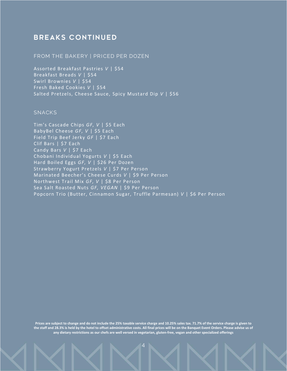# **BREAKS CONTINUED**

#### FROM THE BAKERY | PRICED PER DOZEN

Assorted Breakfast Pastries *V* | \$54 Breakfast Breads *V* | \$54 Swirl Brownies *V* | \$54 Fresh Baked Cookies *V* | \$54 Salted Pretzels, Cheese Sauce, Spicy Mustard Dip *V* | \$56

## **SNACKS**

Tim's Cascade Chips *GF, V* | \$5 Each BabyBel Cheese *GF*,  $V$  | \$5 Each Field Trip Beef Jerky *GF* | \$7 Each Clif Bars | \$7 Each Candy Bars *V* | \$7 Each Chobani Individual Yogurts *V* | \$5 Each Hard Boiled Eggs *GF, V* | \$26 Per Dozen Strawberry Yogurt Pretzels *V* | \$7 Per Person Marinated Beecher's Cheese Curds *V* | \$9 Per Person Northwest Trail Mix *GF, V* | \$8 Per Person Sea Salt Roasted Nuts *GF, VEGAN* | \$9 Per Person Popcorn Trio (Butter, Cinnamon Sugar, Truffle Parmesan) *V* | \$6 Per Person

**Prices are subject to change and do not include the 25% taxable service charge and 10.25% sales tax. 71.7% of the service charge is given to the staff and 28.3% is held by the hotel to offset administrative costs. All final prices will be on the Banquet Event Orders. Please advise us of any dietary restrictions as our chefs are well versed in vegetarian, gluten-free, vegan and other specialized offerings**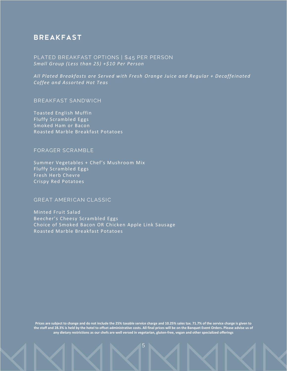# **BREAKFAST**

**PLATED BREAKFAST OPTIONS | \$45 PER PERSON** *Small Group (Less than 25) +\$10 Per Person*

*All Plated Breakfasts are Served with Fresh Orange Juice and Regular + Decaffeinated Coffee and Assorted Hot Teas*

**BREAKFAST SANDWICH** 

Toasted English Muffin Fluffy Scrambled Eggs Smoked Ham or Bacon Roasted Marble Breakfast Potatoes

#### **FORAGER SCRAMBLE**

Summer Vegetables + Chef's Mushroom Mix Fluffy Scrambled Eggs Fresh Herb Chevre Crispy Red Potatoes

#### **GREAT AMERICAN CLASSIC**

Minted Fruit Salad Beecher's Cheesy Scrambled Eggs Choice of Smoked Bacon OR Chicken Apple Link Sausage Roasted Marble Breakfast Potatoes

**Prices are subject to change and do not include the 25% taxable service charge and 10.25% sales tax. 71.7% of the service charge is given to the staff and 28.3% is held by the hotel to offset administrative costs. All final prices will be on the Banquet Event Orders. Please advise us of any dietary restrictions as our chefs are well versed in vegetarian, gluten-free, vegan and other specialized offerings**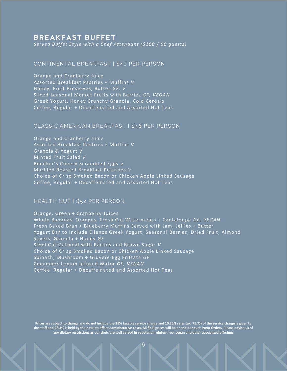## **BREAKFAST BUFFET**

*Served Buffet Style with a Chef Attendant (\$100 / 50 guests)*

#### **CONTI NENTAL BREAKFAST | \$40 PER PERSON**

Orange and Cranberry Juice Assorted Breakfast Pastries + Muffins *V* Honey, Fruit Preserves, Butter *GF, V* Sliced Seasonal Market Fruits with Berries *GF, VEGAN* Greek Yogurt, Honey Crunchy Granola, Cold Cereals Coffee, Regular + Decaffeinated and Assorted Hot Teas

#### **CLASSI C AMERI CAN BREAKFAST | \$48 PER PERSON**

Orange and Cranberry Juice Assorted Breakfast Pastries + Muffins *V* Granola & Yogurt *V* Minted Fruit Salad *V* Beecher's Cheesy Scrambled Eggs *V* Marbled Roasted Breakfast Potatoes *V* Choice of Crisp Smoked Bacon or Chicken Apple Linked Sausage Coffee, Regular + Decaffeinated and Assorted Hot Teas

#### **HEALTH NUT | \$52 PER PERSON**

Orange, Green + Cranberry Juices Whole Bananas, Oranges, Fresh Cut Watermelon + Cantaloupe *GF, VEGAN* Fresh Baked Bran + Blueberry Muffins Served with Jam, Jellies + Butter Yogurt Bar to Include Ellenos Greek Yogurt, Seasonal Berries, Dried Fruit, Almond Slivers, Granola + Honey *GF* Steel Cut Oatmeal with Raisins and Brown Sugar *V* Choice of Crisp Smoked Bacon or Chicken Apple Linked Sausage Spinach, Mushroom + Gruyere Egg Frittata *GF* Cucumber-Lemon Infused Water *GF, VEGAN* Coffee, Regular + Decaffeinated and Assorted Hot Teas

**Prices are subject to change and do not include the 25% taxable service charge and 10.25% sales tax. 71.7% of the service charge is given to the staff and 28.3% is held by the hotel to offset administrative costs. All final prices will be on the Banquet Event Orders. Please advise us of any dietary restrictions as our chefs are well versed in vegetarian, gluten-free, vegan and other specialized offerings**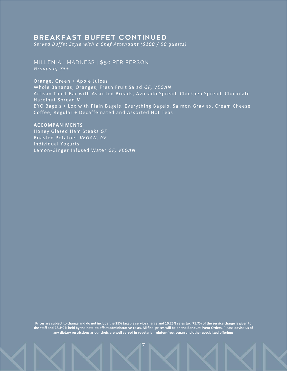## **BREAKFAST BUFFET CONTINUED**

*Served Buffet Style with a Chef Attendant (\$100 / 50 guests)*

**MI LLENI AL MADNESS | \$50 PER PERSON** *Groups of 75+*

Orange, Green + Apple Juices

Whole Bananas, Oranges, Fresh Fruit Salad *GF, VEGAN* Artisan Toast Bar with Assorted Breads, Avocado Spread, Chickpea Spread, Chocolate Hazelnut Spread *V* BYO Bagels + Lox with Plain Bagels, Everything Bagels, Salmon Gravlax, Cream Cheese Coffee, Regular + Decaffeinated and Assorted Hot Teas

#### **ACCOMPANIMENTS**

Honey Glazed Ham Steaks *GF* Roasted Potatoes *VEGAN, GF* Individual Yogurts Lemon-Ginger Infused Water *GF, VEGAN*

**Prices are subject to change and do not include the 25% taxable service charge and 10.25% sales tax. 71.7% of the service charge is given to the staff and 28.3% is held by the hotel to offset administrative costs. All final prices will be on the Banquet Event Orders. Please advise us of any dietary restrictions as our chefs are well versed in vegetarian, gluten-free, vegan and other specialized offerings**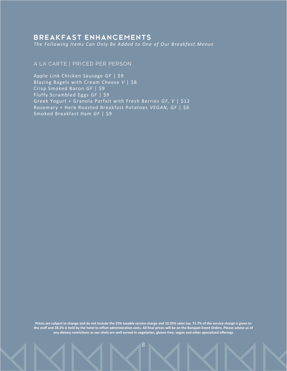## **BREAKFAST ENHANCEMENTS**

*The Following Items Can Only Be Added to One of Our Breakfast Menus*

#### A LA CARTE | PRICED PER PERSON

Apple Link Chicken Sausage *GF* | \$9 Blazing Bagels with Cream Cheese *V* | \$8 Crisp Smoked Bacon *GF* | \$9 Fluffy Scrambled Eggs *GF* | \$9 Greek Yogurt + Granola Parfait with Fresh Berries *GF, V* | \$12 Rosemary + Herb Roasted Breakfast Potatoes *VEGAN, GF* | \$8 Smoked Breakfast Ham *GF* | \$9

**Prices are subject to change and do not include the 25% taxable service charge and 10.25% sales tax. 71.7% of the service charge is given to the staff and 28.3% is held by the hotel to offset administrative costs. All final prices will be on the Banquet Event Orders. Please advise us of any dietary restrictions as our chefs are well versed in vegetarian, gluten-free, vegan and other specialized offerings**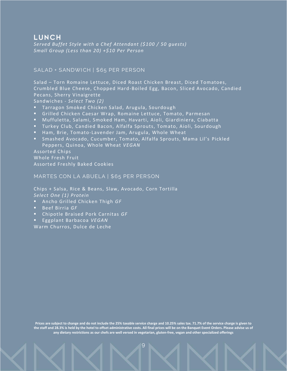# LUNCH

*Served Buffet Style with a Chef Attendant (\$100 / 50 guests) Small Group (Less than 20) +\$10 Per Person*

#### SALAD + SANDWICH | \$65 PER PERSON

Salad – Torn Romaine Lettuce, Diced Roast Chicken Breast, Diced Tomatoes, Crumbled Blue Cheese, Chopped Hard-Boiled Egg, Bacon, Sliced Avocado, Candied Pecans, Sherry Vinaigrette

Sandwiches - *Select Two (2)*

- Tarragon Smoked Chicken Salad, Arugula, Sourdough
- **E** Grilled Chicken Caesar Wrap, Romaine Lettuce, Tomato, Parmesan
- Muffuletta, Salami, Smoked Ham, Havarti, Aioli, Giardiniera, Ciabatta
- Turkey Club, Candied Bacon, Alfalfa Sprouts, Tomato, Aioli, Sourdough
- Ham, Brie, Tomato-Lavender Jam, Arugula, Whole Wheat
- Smashed Avocado, Cucumber, Tomato, Alfalfa Sprouts, Mama Lil's Pickled Peppers, Quinoa, Whole Wheat *VEGAN*

Assorted Chips

Whole Fresh Fruit Assorted Freshly Baked Cookies

#### **MARTES CON LA ABUELA | \$65 PER PERSON**

Chips + Salsa, Rice & Beans, Slaw, Avocado, Corn Tortilla *Select One (1) Protein* 

- Ancho Grilled Chicken Thigh *GF*
- Beef Birria *GF*
- Chipotle Braised Pork Carnitas *GF*
- Eggplant Barbacoa *VEGAN*

Warm Churros, Dulce de Leche

**Prices are subject to change and do not include the 25% taxable service charge and 10.25% sales tax. 71.7% of the service charge is given to the staff and 28.3% is held by the hotel to offset administrative costs. All final prices will be on the Banquet Event Orders. Please advise us of any dietary restrictions as our chefs are well versed in vegetarian, gluten-free, vegan and other specialized offerings**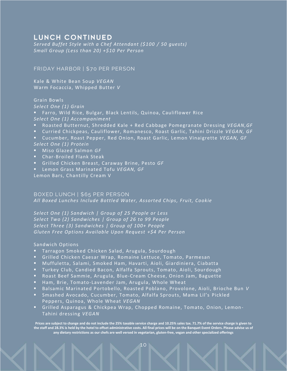# LUNCH CONTINUED

*Served Buffet Style with a Chef Attendant (\$100 / 50 guests) Small Group (Less than 20) +\$10 Per Person*

#### **FRI DAY HARBOR | \$70 PER PERSON**

Kale & White Bean Soup *VEGAN* Warm Focaccia, Whipped Butter *V*

#### Grain Bowls

*Select One (1) Grain*

Farro, Wild Rice, Bulgar, Black Lentils, Quinoa, Cauliflower Rice *Select One (1) Accompaniment*

- Roasted Butternut, Shredded Kale + Red Cabbage Pomegranate Dressing *VEGAN,GF*
- Curried Chickpeas, Cauliflower, Romanesco, Roast Garlic, Tahini Drizzle *VEGAN, GF*
- Cucumber, Roast Pepper, Red Onion, Roast Garlic, Lemon Vinaigrette VEGAN, GF *Select One (1) Protein*
- Miso Glazed Salmon *GF*
- Char-Broiled Flank Steak
- Grilled Chicken Breast, Caraway Brine, Pesto *GF*
- Lemon Grass Marinated Tofu *VEGAN, GF*

Lemon Bars, Chantilly Cream V

#### **BOXED LUNCH | \$65 PER PERSON**

*All Boxed Lunches Include Bottled Water, Assorted Chips, Fruit, Cookie*

*Select One (1) Sandwich | Group of 25 People or Less Select Two (2) Sandwiches | Group of 26 to 99 People Select Three (3) Sandwiches | Group of 100+ People Gluten Free Options Available Upon Request +\$4 Per Person*

#### Sandwich Options

- Tarragon Smoked Chicken Salad, Arugula, Sourdough
- Grilled Chicken Caesar Wrap, Romaine Lettuce, Tomato, Parmesan
- Muffuletta, Salami, Smoked Ham, Havarti, Aioli, Giardiniera, Ciabatta
- Turkey Club, Candied Bacon, Alfalfa Sprouts, Tomato, Aioli, Sourdough
- Roast Beef Sammie, Arugula, Blue-Cream Cheese, Onion Jam, Baguette
- Ham, Brie, Tomato-Lavender Jam, Arugula, Whole Wheat
- Balsamic Marinated Portobello, Roasted Poblano, Provolone, Aioli, Brioche Bun *V*
- Smashed Avocado, Cucumber, Tomato, Alfalfa Sprouts, Mama Lil's Pickled Peppers, Quinoa, Whole Wheat *VEGAN*
- Grilled Asparagus & Chickpea Wrap, Chopped Romaine, Tomato, Onion, Lemon-Tahini dressing *VEGAN*

**Prices are subject to change and do not include the 25% taxable service charge and 10.25% sales tax. 71.7% of the service charge is given to the staff and 28.3% is held by the hotel to offset administrative costs. All final prices will be on the Banquet Event Orders. Please advise us of any dietary restrictions as our chefs are well versed in vegetarian, gluten-free, vegan and other specialized offerings**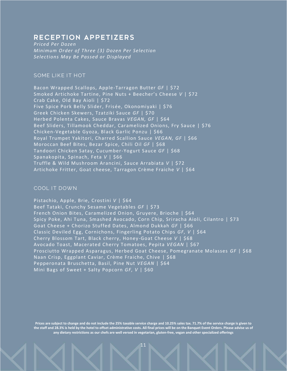## RECEPTION APPETIZERS

*Priced Per Dozen Minimum Order of Three (3) Dozen Per Selection Selections May Be Passed or Displayed*

#### **SOME LIKE IT HOT**

Bacon Wrapped Scallops, Apple-Tarragon Butter *GF* | \$72 Smoked Artichoke Tartine, Pine Nuts + Beecher's Cheese *V* | \$72 Crab Cake, Old Bay Aioli | \$72 Five Spice Pork Belly Slider, Frisée, Okonomiyaki | \$76 Greek Chicken Skewers, Tzatziki Sauce *GF* | \$70 Herbed Polenta Cakes, Sauce Bravas *VEGAN, GF* | \$64 Beef Sliders, Tillamook Cheddar, Caramelized Onions, Fry Sauce | \$76 Chicken-Vegetable Gyoza, Black Garlic Ponzu | \$66 Royal Trumpet Yakitori, Charred Scallion Sauce *VEGAN, GF* | \$66 Moroccan Beef Bites, Bezar Spice, Chili Oil *GF* | \$68 Tandoori Chicken Satay, Cucumber-Yogurt Sauce *GF* | \$68 Spanakopita, Spinach, Feta *V* | \$66 Truffle & Wild Mushroom Arancini, Sauce Arrabiata *V* | \$72 Artichoke Fritter, Goat cheese, Tarragon Crème Fraiche *V* | \$64

## **COOL IT DOWN**

Pistachio, Apple, Brie, Crostini *V* | \$64 Beef Tataki, Crunchy Sesame Vegetables *GF* | \$73 French Onion Bites, Caramelized Onion, Gruyere, Brioche | \$64 Spicy Poke, Ahi Tuna, Smashed Avocado, Corn Chip, Sriracha Aioli, Cilantro | \$73 Goat Cheese + Chorizo Stuffed Dates, Almond Dukkah *GF* | \$66 Classic Deviled Egg, Cornichons, Fingerling Potato Chips *GF, V* | \$64 Cherry Blossom Tart, Black cherry, Honey -Goat Cheese *V* | \$68 Avocado Toast, Macerated Cherry Tomatoes, Pepita *VEGAN* | \$67 Prosciutto Wrapped Asparagus, Herbed Goat Cheese, Pomegranate Molasses *GF* | \$68 Naan Crisp, Eggplant Caviar, Crème Fraiche, Chive | \$68 Pepperonata Bruschetta, Basil, Pine Nut *VEGAN* | \$64 Mini Bags of Sweet + Salty Popcorn *GF, V* | \$60

**Prices are subject to change and do not include the 25% taxable service charge and 10.25% sales tax. 71.7% of the service charge is given to the staff and 28.3% is held by the hotel to offset administrative costs. All final prices will be on the Banquet Event Orders. Please advise us of any dietary restrictions as our chefs are well versed in vegetarian, gluten-free, vegan and other specialized offerings**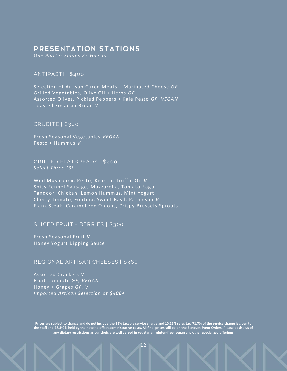## PRESENTATION STATIONS

*One Platter Serves 25 Guests*

#### **ANTI PASTI | \$4 00**

Selection of Artisan Cured Meats + Marinated Cheese *GF* Grilled Vegetables, Olive Oil + Herbs *GF*  Assorted Olives, Pickled Peppers + Kale Pesto *GF, VEGAN* Toasted Focaccia Bread *V*

#### **CRUDI TE | \$300**

Fresh Seasonal Vegetables *VEGAN* Pesto + Hummus *V*

**GRI LLED FLATBREADS | \$400** *Select Three (3)*

Wild Mushroom, Pesto, Ricotta, Truffle Oil *V*  Spicy Fennel Sausage, Mozzarella, Tomato Ragu Tandoori Chicken, Lemon Hummus, Mint Yogurt Cherry Tomato, Fontina, Sweet Basil, Parmesan *V* Flank Steak, Caramelized Onions, Crispy Brussels Sprouts

#### **SLICED FRUIT + BERRIES | \$300**

Fresh Seasonal Fruit *V* Honey Yogurt Dipping Sauce

## **REGI ONAL ARTI SAN CHEESES | \$360**

Assorted Crackers *V* Fruit Compote *GF, VEGAN* Honey + Grapes *GF, V Imported Artisan Selection at \$400+*

**Prices are subject to change and do not include the 25% taxable service charge and 10.25% sales tax. 71.7% of the service charge is given to the staff and 28.3% is held by the hotel to offset administrative costs. All final prices will be on the Banquet Event Orders. Please advise us of any dietary restrictions as our chefs are well versed in vegetarian, gluten-free, vegan and other specialized offerings**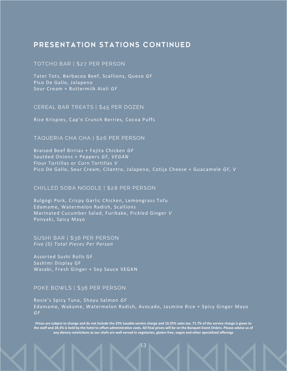# PRESENTATION STATIONS CONTINUED

#### **TOTCHO BAR | \$2 7 PER PERSON**

Tater Tots, Barbacoa Beef, Scallions, Queso *GF*  Pico De Gallo, Jalapeno Sour Cream + Buttermilk Aioli *GF* 

**CEREAL BAR TREATS | \$45 PER DOZEN**

Rice Krispies, Cap'n Crunch Berries, Cocoa Puffs

#### **TAQUERI A CHA CHA | \$2 6 PER PERSON**

Braised Beef Birrias + Fajita Chicken *GF* Sautéed Onions + Peppers *GF, VEGAN* Flour Tortillas or Corn Tortillas *V* Pico De Gallo, Sour Cream, Cilantro, Jalapeno, Cotija Cheese + Guacamole *GF, V*

#### **CHI LLED SOBA NOODLE | \$2 8 PER PERSON**

Bulgogi Pork, Crispy Garlic Chicken, Lemongrass Tofu Edamame, Watermelon Radish, Scallions Marinated Cucumber Salad, Furikake, Pickled Ginger *V* Ponyaki, Spicy Mayo

#### **SUSHI BAR | \$36 PER PERSON** *Five (5) Total Pieces Per Person*

Assorted Sushi Rolls GF Sashimi Display GF Wasabi, Fresh Ginger + Soy Sauce VEGAN

#### **POKE BOWLS | \$36 PER PERSON**

Rosie's Spicy Tuna, Shoyu Salmon *GF* Edamame, Wakame, Watermelon Radish, Avocado, Jasmine Rice + Spicy Ginger Mayo *GF*

**Prices are subject to change and do not include the 25% taxable service charge and 10.25% sales tax. 71.7% of the service charge is given to the staff and 28.3% is held by the hotel to offset administrative costs. All final prices will be on the Banquet Event Orders. Please advise us of any dietary restrictions as our chefs are well versed in vegetarian, gluten-free, vegan and other specialized offerings**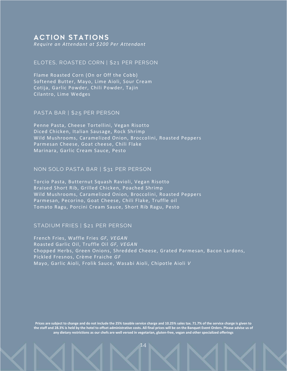## **ACTION STATIONS**

*Require an Attendant at \$200 Per Attendant*

#### **ELOTES, ROASTED CORN | \$2 1 PER PERSON**

Flame Roasted Corn (On or Off the Cobb) Softened Butter, Mayo, Lime Aioli, Sour Cream Cotija, Garlic Powder, Chili Powder, Tajin Cilantro, Lime Wedges

#### **PASTA BAR | \$2 5 PER PERSON**

Penne Pasta, Cheese Tortellini, Vegan Risotto Diced Chicken, Italian Sausage, Rock Shrimp Wild Mushrooms, Caramelized Onion, Broccolini, Roasted Peppers Parmesan Cheese, Goat cheese, Chili Flake Marinara, Garlic Cream Sauce, Pesto

#### **NON SOLO PASTA BAR | \$31 PER PERSON**

Torcio Pasta, Butternut Squash Ravioli, Vegan Risotto Braised Short Rib, Grilled Chicken, Poached Shrimp Wild Mushrooms, Caramelized Onion, Broccolini, Roasted Peppers Parmesan, Pecorino, Goat Cheese, Chili Flake, Truffle oil Tomato Ragu, Porcini Cream Sauce, Short Rib Ragu, Pesto

#### **STADIUM FRIES | \$21 PER PERSON**

French Fries, Waffle Fries *GF, VEGAN* Roasted Garlic Oil, Truffle Oil *GF, VEGAN* Chopped Herbs, Green Onions, Shredded Cheese, Grated Parmesan, Bacon Lardons, Pickled Fresnos, Crème Fraiche *GF* Mayo, Garlic Aioli, Frolik Sauce, Wasabi Aioli, Chipotle Aioli *V*

**Prices are subject to change and do not include the 25% taxable service charge and 10.25% sales tax. 71.7% of the service charge is given to the staff and 28.3% is held by the hotel to offset administrative costs. All final prices will be on the Banquet Event Orders. Please advise us of any dietary restrictions as our chefs are well versed in vegetarian, gluten-free, vegan and other specialized offerings**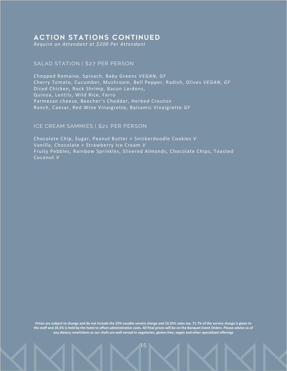## **ACTION STATIONS CONTINUED**

*Require an Attendant at \$200 Per Attendant*

#### SALAD STATION | \$27 PER PERSON

Chopped Romaine, Spinach, Baby Greens *VEGAN, GF* Cherry Tomato, Cucumber, Mushroom, Bell Pepper, Radish, Olives *VEGAN, GF* Diced Chicken, Rock Shrimp, Bacon Lardons, Quinoa, Lentils, Wild Rice, Farro Parmesan cheese, Beecher's Cheddar, Herbed Crouton Ranch, Caesar, Red Wine Vinaigrette, Balsamic Vinaigrette *GF*

#### **ICE CREAM SAMMIES | \$21 PER PERSON**

Chocolate Chip, Sugar, Peanut Butter + Snickerdoodle Cookies *V* Vanilla, Chocolate + Strawberry Ice Cream *V* Fruity Pebbles, Rainbow Sprinkles, Slivered Almonds, Chocolate Chips, Toasted Coconut *V*

**Prices are subject to change and do not include the 25% taxable service charge and 10.25% sales tax. 71.7% of the service charge is given to the staff and 28.3% is held by the hotel to offset administrative costs. All final prices will be on the Banquet Event Orders. Please advise us of any dietary restrictions as our chefs are well versed in vegetarian, gluten-free, vegan and other specialized offerings**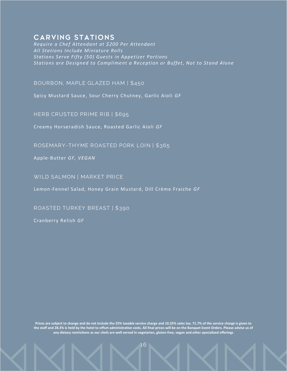## **CARVING STATIONS**

*Require a Chef Attendant at \$200 Per Attendant All Stations Include Miniature Rolls Stations Serve Fifty (50) Guests in Appetizer Portions Stations are Designed to Compliment a Reception or Buffet, Not to Stand Alone*

**BOURBON, MAPLE GLAZED HAM | \$450**

Spicy Mustard Sauce, Sour Cherry Chutney, Garlic Aioli *GF*

**HERB CRUSTED PRIME RIB | \$695** 

Creamy Horseradish Sauce, Roasted Garlic Aioli *GF*

ROSEMARY-THYME ROASTED PORK LOIN | \$365

Apple-Butter *GF, VEGAN*

WILD SALMON | MARKET PRICE

Lemon-Fennel Salad, Honey Grain Mustard, Dill Crème Fraiche *GF*

**ROASTED TURKEY BREAST | \$390**

Cranberry Relish *GF*

**Prices are subject to change and do not include the 25% taxable service charge and 10.25% sales tax. 71.7% of the service charge is given to the staff and 28.3% is held by the hotel to offset administrative costs. All final prices will be on the Banquet Event Orders. Please advise us of any dietary restrictions as our chefs are well versed in vegetarian, gluten-free, vegan and other specialized offerings**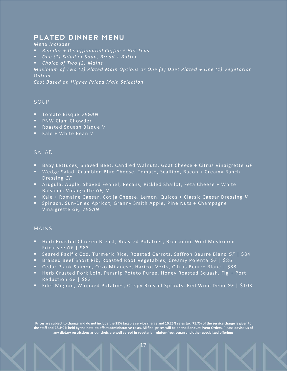# PLATED DINNER MENU

*Menu Includes*

- *Regular + Decaffeinated Coffee + Hot Teas*
- *One (1) Salad or Soup, Bread + Butter*
- *Choice of Two (2) Mains*

*Maximum of Two (2) Plated Main Options or One (1) Duet Plated + One (1) Vegetarian Option*

*Cost Based on Higher Priced Main Selection*

#### **SOUP**

- Tomato Bisque *VEGAN*
- PNW Clam Chowder
- Roasted Squash Bisque *V*
- Kale + White Bean *V*

#### **SALAD**

- Baby Lettuces, Shaved Beet, Candied Walnuts, Goat Cheese + Citrus Vinaigrette *GF*
- Wedge Salad, Crumbled Blue Cheese, Tomato, Scallion, Bacon + Creamy Ranch Dressing *GF*
- Arugula, Apple, Shaved Fennel, Pecans, Pickled Shallot, Feta Cheese + White Balsamic Vinaigrette *GF, V*
- Kale + Romaine Caesar, Cotija Cheese, Lemon, Quicos + Classic Caesar Dressing *V*
- Spinach, Sun-Dried Apricot, Granny Smith Apple, Pine Nuts + Champagne Vinaigrette *GF, VEGAN*

#### **MAI NS**

- Herb Roasted Chicken Breast, Roasted Potatoes, Broccolini, Wild Mushroom Fricassee *GF* | \$83
- Seared Pacific Cod, Turmeric Rice, Roasted Carrots, Saffron Beurre Blanc *GF* | \$84
- Braised Beef Short Rib, Roasted Root Vegetables, Creamy Polenta *GF* | \$86
- Cedar Plank Salmon, Orzo Milanese, Haricot Verts, Citrus Beurre Blanc | \$88
- Herb Crusted Pork Loin, Parsnip Potato Puree, Honey Roasted Squash, Fig + Port Reduction *GF* | \$83
- Filet Mignon, Whipped Potatoes, Crispy Brussel Sprouts, Red Wine Demi *GF* | \$103

**Prices are subject to change and do not include the 25% taxable service charge and 10.25% sales tax. 71.7% of the service charge is given to the staff and 28.3% is held by the hotel to offset administrative costs. All final prices will be on the Banquet Event Orders. Please advise us of any dietary restrictions as our chefs are well versed in vegetarian, gluten-free, vegan and other specialized offerings**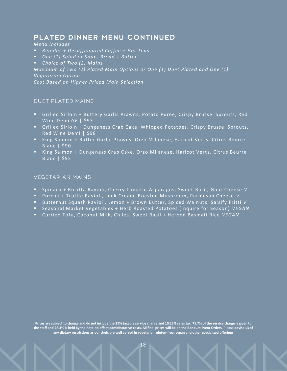# PLATED DINNER MENU CONTINUED

#### *Menu Includes*

- *Regular + Decaffeinated Coffee + Hot Teas*
- *One (1) Salad or Soup, Bread + Butter*
- *Choice of Two (2) Mains*

*Maximum of Two (2) Plated Main Options or One (1) Duet Plated and One (1) Vegetarian Option*

*Cost Based on Higher Priced Main Selection*

#### **DUET PLATED MAINS**

- Grilled Sirloin + Buttery Garlic Prawns, Potato Puree, Crispy Brussel Sprouts, Red Wine Demi GF | \$93
- Grilled Sirloin + Dungeness Crab Cake, Whipped Potatoes, Crispy Brussel Sprouts, Red Wine Demi | \$98
- King Salmon + Butter Garlic Prawns, Orzo Milanese, Haricot Verts, Citrus Beurre Blanc | \$90
- King Salmon + Dungeness Crab Cake, Orzo Milanese, Haricot Verts, Citrus Beurre Blanc | \$95

#### **VEGETARIAN MAINS**

- Spinach + Ricotta Ravioli, Cherry Tomato, Asparagus, Sweet Basil, Goat Cheese *V*
- Porcini + Truffle Ravioli, Leek Cream, Roasted Mushroom, Parmesan Cheese *V*
- Butternut Squash Ravioli, Lemon + Brown Butter, Spiced Walnuts, Salsify Fritti *V*
- Seasonal Market Vegetables + Herb Roasted Potatoes (Inquire for Season) *VEGAN*
- Curried Tofu, Coconut Milk, Chiles, Sweet Basil + Herbed Basmati Rice *VEGAN*

**Prices are subject to change and do not include the 25% taxable service charge and 10.25% sales tax. 71.7% of the service charge is given to the staff and 28.3% is held by the hotel to offset administrative costs. All final prices will be on the Banquet Event Orders. Please advise us of any dietary restrictions as our chefs are well versed in vegetarian, gluten-free, vegan and other specialized offerings**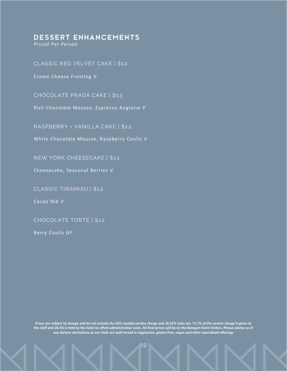## **DESSERT ENHANCEMENTS**

*Priced Per Person*

#### **CLASSI C RED VELVET CAKE | \$1 2**

Cream Cheese Frosting *V*

**CHOCOLATE PRADA CAK E | \$1 3**

Rich Chocolate Mousse, Espresso Anglaise *V*

RASPBERRY + VANILLA CAKE | \$12

White Chocolate Mousse, Raspberry Coulis *V*

**NEW YORK CHEESECAKE | \$1 2**

Cheesecake, Seasonal Berries *V*

**CLASSIC TIRAMISU | \$12** 

Cacao Nib *V*

**CHOCOLATE TORTE | \$1 2**

Berry Coulis *GF*

**Prices are subject to change and do not include the 25% taxable service charge and 10.25% sales tax. 71.7% of the service charge is given to the staff and 28.3% is held by the hotel to offset administrative costs. All final prices will be on the Banquet Event Orders. Please advise us of any dietary restrictions as our chefs are well versed in vegetarian, gluten-free, vegan and other specialized offerings**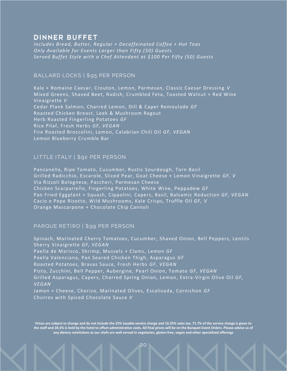## **DINNER BUFFET**

*Includes Bread, Butter, Regular + Decaffeinated Coffee + Hot Teas Only Available for Events Larger than Fifty (50) Guests Served Buffet Style with a Chef Attendant at \$100 Per Fifty (50) Guests*

## **BALLARD LOCKS | \$95 PER PERSON**

Kale + Romaine Caesar, Crouton, Lemon, Parmesan, Classic Caesar Dressing *V* Mixed Greens, Shaved Beet, Radish, Crumbled Feta, Toasted Walnut + Red Wine Vinaigrette *V* Cedar Plank Salmon, Charred Lemon, Dill & Caper Remoulade *GF* Roasted Chicken Breast, Leek & Mushroom Ragout Herb Roasted Fingerling Potatoes *GF*  Rice Pilaf, Fresh Herbs *GF, VEGAN* Fire Roasted Broccolini, Lemon, Calabrian Chili Oil *GF, VEGAN* Lemon Blueberry Crumble Bar

## **LI TTLE I TALY | \$92 PER PERSON**

Panzanella, Ripe Tomato, Cucumber, Rustic Sourdough, Torn Basil Grilled Radicchio, Escarole, Sliced Pear, Goat Cheese + Lemon Vinaigrette *GF, V* Via Rizzoli Bolognese, Paccheri, Parmesan Cheese Chicken Scarpariello, Fingerling Potatoes, White Wine, Peppadew *GF* Pan Fried Eggplant + Squash, Cippolini, Capers, Basil, Balsamic Reduction *GF, VEGAN* Cacio e Pepe Risotto, Wild Mushrooms, Kale Crisps, Truffle Oil *GF, V* Orange Mascarpone + Chocolate Chip Cannoli

#### **PARQUE RETIRO | \$99 PER PERSON**

Spinach, Marinated Cherry Tomatoes, Cucumber, Shaved Onion, Bell Peppers, Lentils Sherry Vinaigrette *GF, VEGAN* Paella de Marisco, Shrimp, Mussels + Clams, Lemon *GF* Paella Valenciana, Pan Seared Chicken Thigh, Asparagus *GF* Roasted Potatoes, Bravas Sauce, Fresh Herbs *GF, VEGAN* Pisto, Zucchini, Bell Pepper, Aubergine, Pearl Onion, Tomato *GF, VEGAN* Grilled Asparagus, Capers, Charred Spring Onion, Lemon, Extra-Virgin Olive Oil *GF, VEGAN* Jamon + Cheese, Chorizo, Marinated Olives, Escalivada, Cornichon *GF* Churros with Spiced Chocolate Sauce *V*

**Prices are subject to change and do not include the 25% taxable service charge and 10.25% sales tax. 71.7% of the service charge is given to the staff and 28.3% is held by the hotel to offset administrative costs. All final prices will be on the Banquet Event Orders. Please advise us of any dietary restrictions as our chefs are well versed in vegetarian, gluten-free, vegan and other specialized offerings**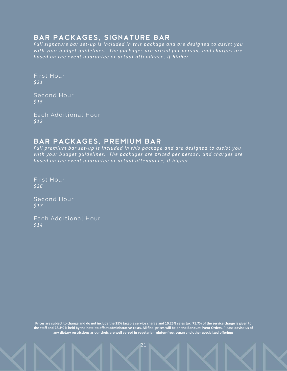## **BAR PACKAGES, SIGNATURE BAR**

*Full signature bar set-up is included in this package and are designed to assist you with your budget guidelines. The packages are priced per person, and charges are based on the event guarantee or actual attendance, if higher*

First Hour *\$21*

**Second Hour** *\$15*

**Each Additional Hour** *\$12*

# BAR PACKAGES, PREMIUM BAR

*Full premium bar set-up is included in this package and are designed to assist you with your budget guidelines. The packages are priced per person, and charges are based on the event guarantee or actual attendance, if higher*

First Hour *\$26*

**Second Hour** *\$17*

**Each Additional Hour** *\$14*

**Prices are subject to change and do not include the 25% taxable service charge and 10.25% sales tax. 71.7% of the service charge is given to the staff and 28.3% is held by the hotel to offset administrative costs. All final prices will be on the Banquet Event Orders. Please advise us of any dietary restrictions as our chefs are well versed in vegetarian, gluten-free, vegan and other specialized offerings**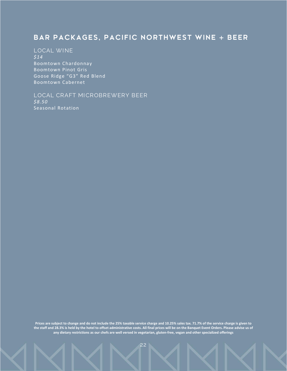# BAR PACKAGES, PACIFIC NORTHWEST WINE + BEER

## **LOCAL WI NE**

*\$14* Boomtown Chardonnay Boomtown Pinot Gris Goose Ridge "G3" Red Blend Boomtown Cabernet

#### LOCAL CRAFT MICROBREWERY BEER *\$8.50*

Seasonal Rotation

**Prices are subject to change and do not include the 25% taxable service charge and 10.25% sales tax. 71.7% of the service charge is given to the staff and 28.3% is held by the hotel to offset administrative costs. All final prices will be on the Banquet Event Orders. Please advise us of any dietary restrictions as our chefs are well versed in vegetarian, gluten-free, vegan and other specialized offerings**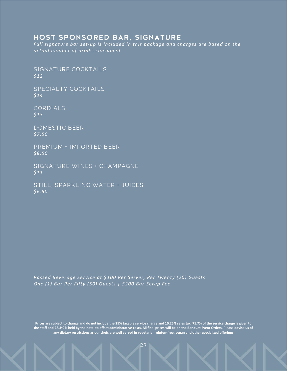## HOST SPONSORED BAR, SIGNATURE

*Full signature bar set-up is included in this package and charges are based on the actual number of drinks consumed*

**SIGNATURE COCKTAILS** *\$12*

**SPECIALTY COCKTAILS** *\$14*

**CORDI ALS** *\$13*

**DOMESTIC BEER** *\$7.50*

**PREMI UM + I MPORTED BEER** *\$8.50*

**SI GNATURE WI NES + CHAMPAGNE** *\$11*

**STI LL, SPARK LI NG WATER + JUI CES** *\$6.50*

*Passed Beverage Service at \$100 Per Server, Per Twenty (20) Guests One (1) Bar Per Fifty (50) Guests | \$200 Bar Setup Fee*

**Prices are subject to change and do not include the 25% taxable service charge and 10.25% sales tax. 71.7% of the service charge is given to the staff and 28.3% is held by the hotel to offset administrative costs. All final prices will be on the Banquet Event Orders. Please advise us of any dietary restrictions as our chefs are well versed in vegetarian, gluten-free, vegan and other specialized offerings**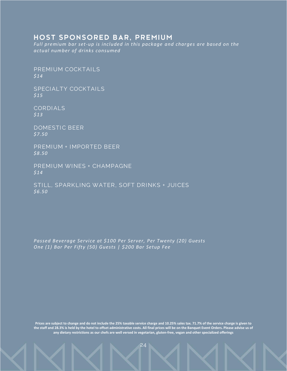## HOST SPONSORED BAR, PREMIUM

*Full premium bar set-up is included in this package and charges are based on the actual number of drinks consumed*

**PREMIUM COCKTAILS** *\$14*

**SPECIALTY COCKTAILS** *\$15*

**CORDI ALS** *\$13*

**DOMESTIC BEER** *\$7.50*

**PREMI UM + I MPORTED BEER** *\$8.50*

**PREMIUM WINES + CHAMPAGNE** *\$14*

**STI LL, SPARK LI NG WATER, SOFT DRI NKS + JUI CES** *\$6.50*

*Passed Beverage Service at \$100 Per Server, Per Twenty (20) Guests One (1) Bar Per Fifty (50) Guests | \$200 Bar Setup Fee*

**Prices are subject to change and do not include the 25% taxable service charge and 10.25% sales tax. 71.7% of the service charge is given to the staff and 28.3% is held by the hotel to offset administrative costs. All final prices will be on the Banquet Event Orders. Please advise us of any dietary restrictions as our chefs are well versed in vegetarian, gluten-free, vegan and other specialized offerings**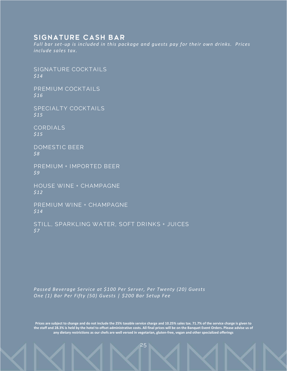## SIGNATURE CASH BAR

*Full bar set-up is included in this package and guests pay for their own drinks. Prices include sales tax.*

**SIGNATURE COCKTALLS** *\$14*

**PREMIUM COCKTAILS** *\$16*

**SPECIALTY COCKTAILS** *\$15*

**CORDIALS** *\$15*

**DOMESTIC BEER** *\$8*

**PREMI UM + I MPORTED BEER** *\$9*

**HOUSE WINE + CHAMPAGNE** *\$12*

**PREMIUM WINE + CHAMPAGNE** *\$14*

**STI LL, SPARK LI NG WATER, SOFT DRI NKS + JUI CES** *\$7*

*Passed Beverage Service at \$100 Per Server, Per Twenty (20) Guests One (1) Bar Per Fifty (50) Guests | \$200 Bar Setup Fee*

**Prices are subject to change and do not include the 25% taxable service charge and 10.25% sales tax. 71.7% of the service charge is given to the staff and 28.3% is held by the hotel to offset administrative costs. All final prices will be on the Banquet Event Orders. Please advise us of any dietary restrictions as our chefs are well versed in vegetarian, gluten-free, vegan and other specialized offerings**